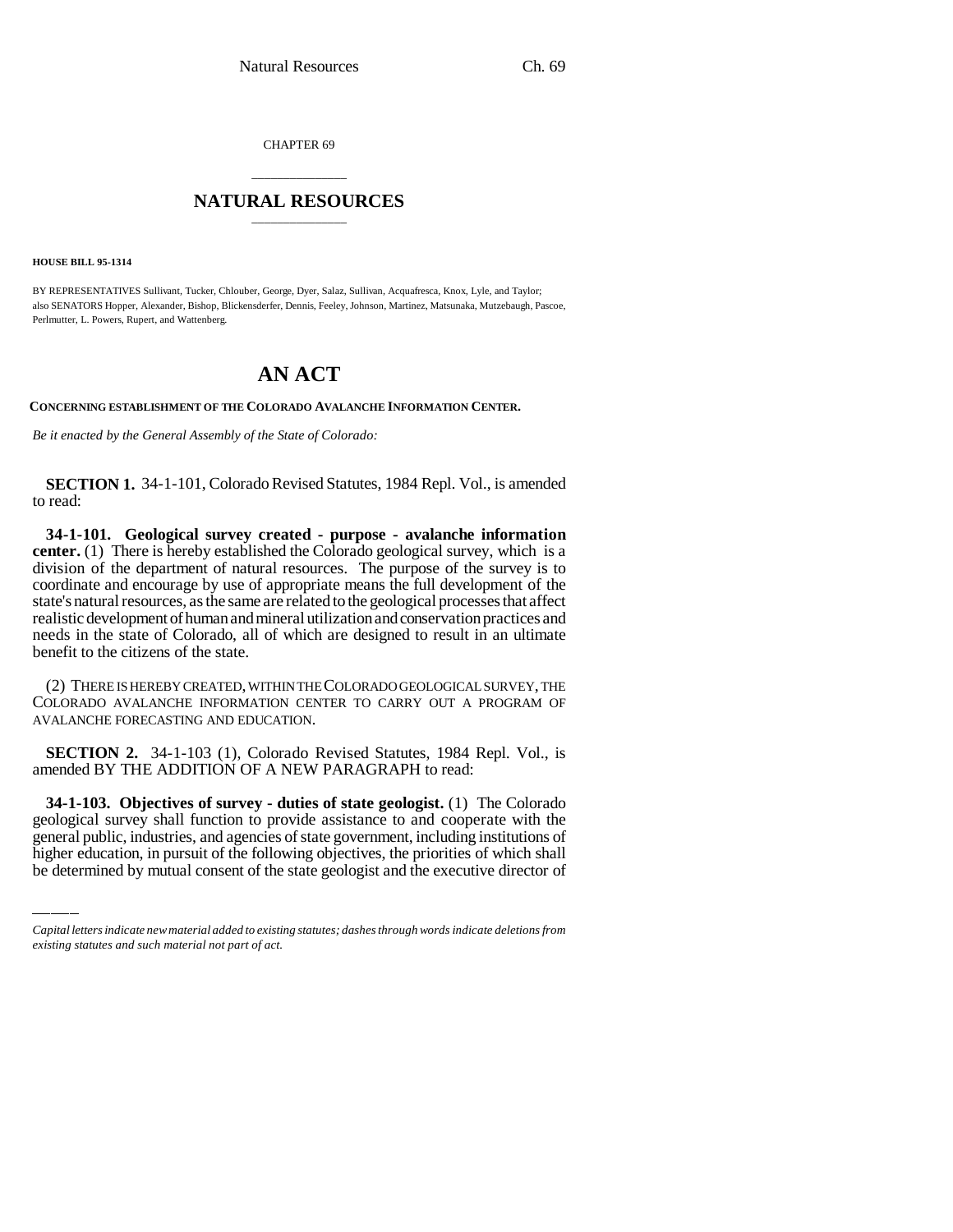CHAPTER 69

## \_\_\_\_\_\_\_\_\_\_\_\_\_\_\_ **NATURAL RESOURCES** \_\_\_\_\_\_\_\_\_\_\_\_\_\_\_

**HOUSE BILL 95-1314**

BY REPRESENTATIVES Sullivant, Tucker, Chlouber, George, Dyer, Salaz, Sullivan, Acquafresca, Knox, Lyle, and Taylor; also SENATORS Hopper, Alexander, Bishop, Blickensderfer, Dennis, Feeley, Johnson, Martinez, Matsunaka, Mutzebaugh, Pascoe, Perlmutter, L. Powers, Rupert, and Wattenberg.

## **AN ACT**

**CONCERNING ESTABLISHMENT OF THE COLORADO AVALANCHE INFORMATION CENTER.**

*Be it enacted by the General Assembly of the State of Colorado:*

**SECTION 1.** 34-1-101, Colorado Revised Statutes, 1984 Repl. Vol., is amended to read:

**34-1-101. Geological survey created - purpose - avalanche information center.** (1) There is hereby established the Colorado geological survey, which is a division of the department of natural resources. The purpose of the survey is to coordinate and encourage by use of appropriate means the full development of the state's natural resources, as the same are related to the geological processes that affect realistic development of human and mineral utilization and conservation practices and needs in the state of Colorado, all of which are designed to result in an ultimate benefit to the citizens of the state.

(2) THERE IS HEREBY CREATED, WITHIN THE COLORADO GEOLOGICAL SURVEY, THE COLORADO AVALANCHE INFORMATION CENTER TO CARRY OUT A PROGRAM OF AVALANCHE FORECASTING AND EDUCATION.

**SECTION 2.** 34-1-103 (1), Colorado Revised Statutes, 1984 Repl. Vol., is amended BY THE ADDITION OF A NEW PARAGRAPH to read:

 **34-1-103. Objectives of survey - duties of state geologist.** (1) The Colorado geological survey shall function to provide assistance to and cooperate with the general public, industries, and agencies of state government, including institutions of higher education, in pursuit of the following objectives, the priorities of which shall be determined by mutual consent of the state geologist and the executive director of

*Capital letters indicate new material added to existing statutes; dashes through words indicate deletions from existing statutes and such material not part of act.*